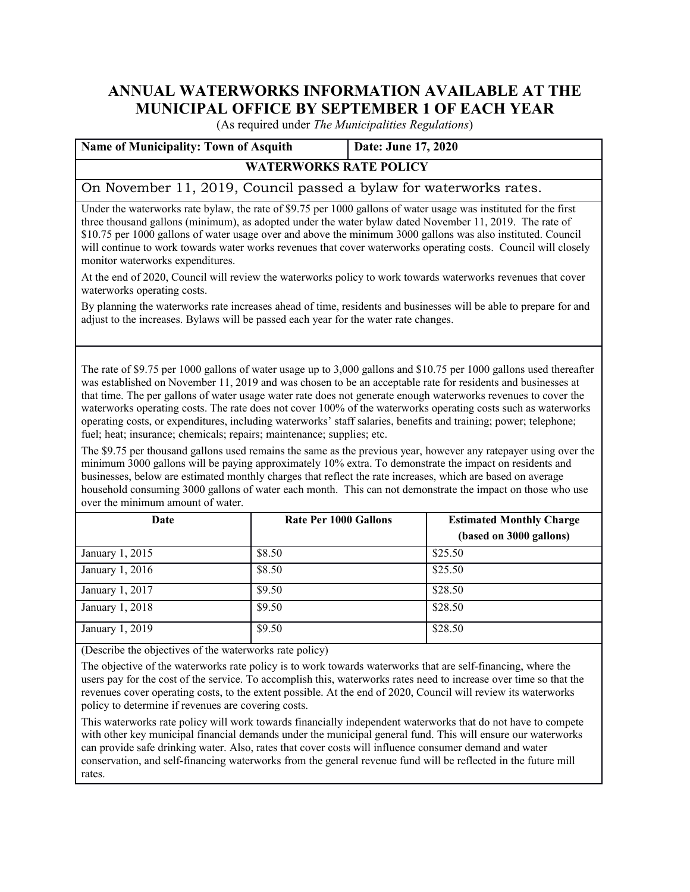# **ANNUAL WATERWORKS INFORMATION AVAILABLE AT THE MUNICIPAL OFFICE BY SEPTEMBER 1 OF EACH YEAR**

(As required under *The Municipalities Regulations*)

| <b>Name of Municipality: Town of Asquith</b>                       | Date: June 17, 2020 |  |  |  |  |
|--------------------------------------------------------------------|---------------------|--|--|--|--|
| <b>WATERWORKS RATE POLICY</b>                                      |                     |  |  |  |  |
| On November 11, 2019, Council passed a bylaw for waterworks rates. |                     |  |  |  |  |

Under the waterworks rate bylaw, the rate of \$9.75 per 1000 gallons of water usage was instituted for the first three thousand gallons (minimum), as adopted under the water bylaw dated November 11, 2019. The rate of \$10.75 per 1000 gallons of water usage over and above the minimum 3000 gallons was also instituted. Council will continue to work towards water works revenues that cover waterworks operating costs. Council will closely monitor waterworks expenditures.

At the end of 2020, Council will review the waterworks policy to work towards waterworks revenues that cover waterworks operating costs.

By planning the waterworks rate increases ahead of time, residents and businesses will be able to prepare for and adjust to the increases. Bylaws will be passed each year for the water rate changes.

The rate of \$9.75 per 1000 gallons of water usage up to 3,000 gallons and \$10.75 per 1000 gallons used thereafter was established on November 11, 2019 and was chosen to be an acceptable rate for residents and businesses at that time. The per gallons of water usage water rate does not generate enough waterworks revenues to cover the waterworks operating costs. The rate does not cover 100% of the waterworks operating costs such as waterworks operating costs, or expenditures, including waterworks' staff salaries, benefits and training; power; telephone; fuel; heat; insurance; chemicals; repairs; maintenance; supplies; etc.

The \$9.75 per thousand gallons used remains the same as the previous year, however any ratepayer using over the minimum 3000 gallons will be paying approximately 10% extra. To demonstrate the impact on residents and businesses, below are estimated monthly charges that reflect the rate increases, which are based on average household consuming 3000 gallons of water each month. This can not demonstrate the impact on those who use over the minimum amount of water.

| Date            | <b>Rate Per 1000 Gallons</b> | <b>Estimated Monthly Charge</b> |  |
|-----------------|------------------------------|---------------------------------|--|
|                 |                              | (based on 3000 gallons)         |  |
| January 1, 2015 | \$8.50                       | \$25.50                         |  |
| January 1, 2016 | \$8.50                       | \$25.50                         |  |
| January 1, 2017 | \$9.50                       | \$28.50                         |  |
| January 1, 2018 | \$9.50                       | \$28.50                         |  |
| January 1, 2019 | \$9.50                       | \$28.50                         |  |

(Describe the objectives of the waterworks rate policy)

The objective of the waterworks rate policy is to work towards waterworks that are self-financing, where the users pay for the cost of the service. To accomplish this, waterworks rates need to increase over time so that the revenues cover operating costs, to the extent possible. At the end of 2020, Council will review its waterworks policy to determine if revenues are covering costs.

This waterworks rate policy will work towards financially independent waterworks that do not have to compete with other key municipal financial demands under the municipal general fund. This will ensure our waterworks can provide safe drinking water. Also, rates that cover costs will influence consumer demand and water conservation, and self-financing waterworks from the general revenue fund will be reflected in the future mill rates.